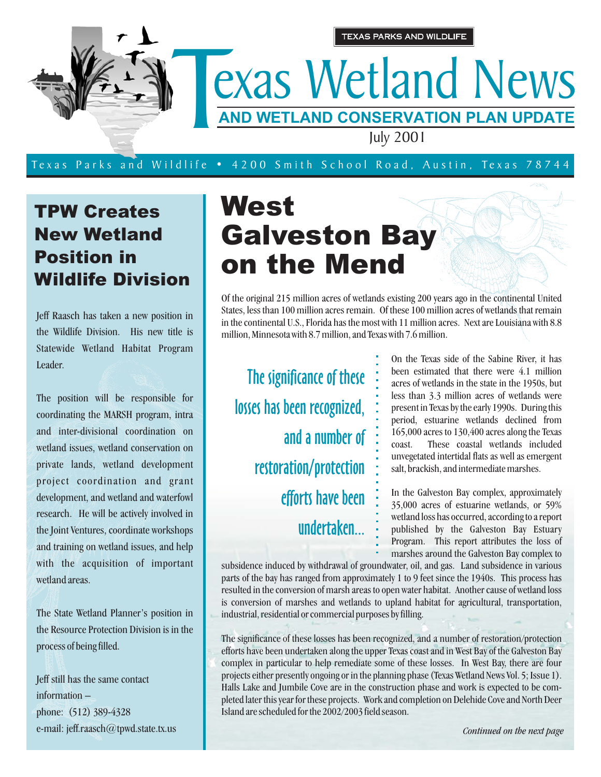

#### Texas Parks and W ildlife • 4200 Smith School Road, Austin, Texas 78744

#### TPW Creates New Wetland Position in Wildlife Division

Jeff Raasch has taken a new position in the Wildlife Division. His new title is Statewide Wetland Habitat Program Leader.

The position will be responsible for coordinating the MARSH program, intra and inter-divisional coordination on wetland issues, wetland conservation on private lands, wetland development project coordination and grant development, and wetland and waterfowl research. He will be actively involved in the Joint Ventures, coordinate workshops and training on wetland issues, and help with the acquisition of important wetland areas.

The State Wetland Planner's position in the Resource Protection Division is in the process of being filled.

Jeff still has the same contact information – phone: (512) 389-4328 e-mail: jeff.raasch@tpwd.state.tx.us

# West Galveston Bay on the Mend

Of the original 215 million acres of wetlands existing 200 years ago in the continental United States, less than 100 million acres remain. Of these 100 million acres of wetlands that remain in the continental U.S., Florida has the most with 11 million acres. Next are Louisiana with 8.8 million, Minnesota with 8.7 million, and Texas with 7.6 million.

The significance of these losses has been recognized, and a number of restoration/protection efforts have been undertaken...

On the Texas side of the Sabine River, it has been estimated that there were 4.1 million acres of wetlands in the state in the 1950s, but less than 3.3 million acres of wetlands were present in Texas by the early 1990s. During this period, estuarine wetlands declined from 165,000 acres to 130,400 acres along the Texas coast. These coastal wetlands included unvegetated intertidal flats as well as emergent salt, brackish, and intermediate marshes.

In the Galveston Bay complex, approximately 35,000 acres of estuarine wetlands, or 59% wetland loss has occurred, according to a report published by the Galveston Bay Estuary Program. This report attributes the loss of marshes around the Galveston Bay complex to

subsidence induced by withdrawal of groundwater, oil, and gas. Land subsidence in various parts of the bay has ranged from approximately 1 to 9 feet since the 1940s. This process has resulted in the conversion of marsh areas to open water habitat. Another cause of wetland loss is conversion of marshes and wetlands to upland habitat for agricultural, transportation, industrial, residential or commercial purposes by filling.

The significance of these losses has been recognized, and a number of restoration/protection efforts have been undertaken along the upper Texas coast and in West Bay of the Galveston Bay complex in particular to help remediate some of these losses. In West Bay, there are four projects either presently ongoing or in the planning phase (Texas Wetland News Vol. 5; Issue 1). Halls Lake and Jumbile Cove are in the construction phase and work is expected to be completed later this year for these projects. Work and completion on Delehide Cove and North Deer Island are scheduled for the 2002/2003 field season.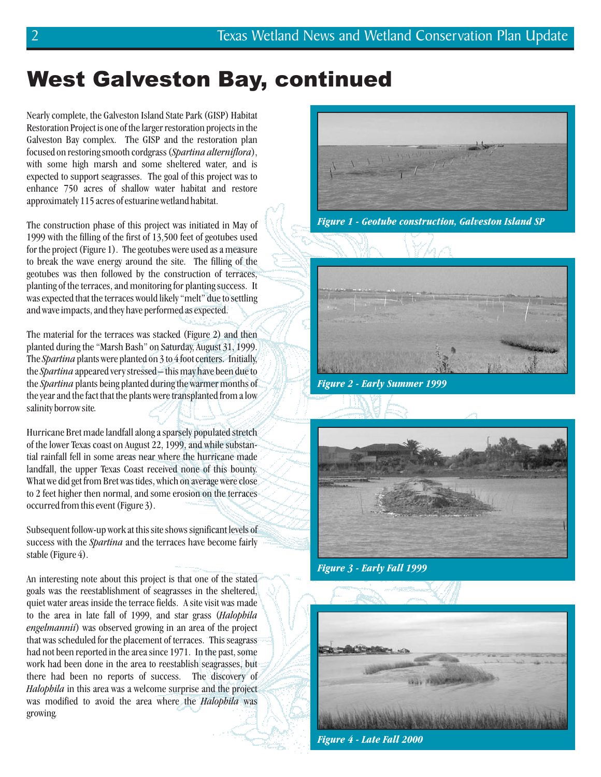#### West Galveston Bay, continued

Nearly complete, the Galveston Island State Park (GISP) Habitat Restoration Project is one of the larger restoration projects in the Galveston Bay complex. The GISP and the restoration plan focused on restoring smooth cordgrass (Spartina alterniflora), with some high marsh and some sheltered water, and is expected to support seagrasses. The goal of this project was to enhance 750 acres of shallow water habitat and restore approximately 115 acres of estuarine wetland habitat.

The construction phase of this project was initiated in May of 1999 with the filling of the first of 13,500 feet of geotubes used for the project (Figure 1). The geotubes were used as a measure to break the wave energy around the site. The filling of the geotubes was then followed by the construction of terraces, planting of the terraces, and monitoring for planting success. It was expected that the terraces would likely "melt" due to settling and wave impacts, and they have performed as expected.

The material for the terraces was stacked (Figure 2) and then planted during the "Marsh Bash" on Saturday, August 31, 1999. The Spartina plants were planted on 3 to 4 foot centers. Initially, the Spartina appeared very stressed - this may have been due to the *Spartina* plants being planted during the warmer months of the year and the fact that the plants were transplanted from a low salinity borrow site *.*

Hurricane Bret made landfall along a sparsely populated stretch of the lower Texas coast on August 22, 1999, and while substantial rainfall fell in some areas near where the hurricane made landfall, the upper Texas Coast received none of this bounty. What we did get from Bret was tides, which on average were close to 2 feet higher then normal, and some erosion on the terraces occurred from this event (Figure 3).

Subsequent follow-up work at this site shows significant levels of success with the *Spartina* and the terraces have become fairly stable (Figure 4).

An interesting note about this project is that one of the stated goals was the reestablishment of seagrasses in the sheltered, quiet water areas inside the terrace fields. A site visit was made to the area in late fall of 1999, and star grass ( *Halophila* engelmannii) was observed growing in an area of the project that was scheduled for the placement of terraces. This seagrass had not been reported in the area since 1971. In the past, some work had been done in the area to reestablish seagrasses, but there had been no reports of success. The discovery of Halophila in this area was a welcome surprise and the project was modified to avoid the area where the *Halophila* was growing *.*



*Figure 1 - Geotube construction, Galveston Island SP*



*Figure 2 - Early Summer 1999*



*Figure 3 - Early Fall 1999*



*Figure 4 - Late Fall 2000*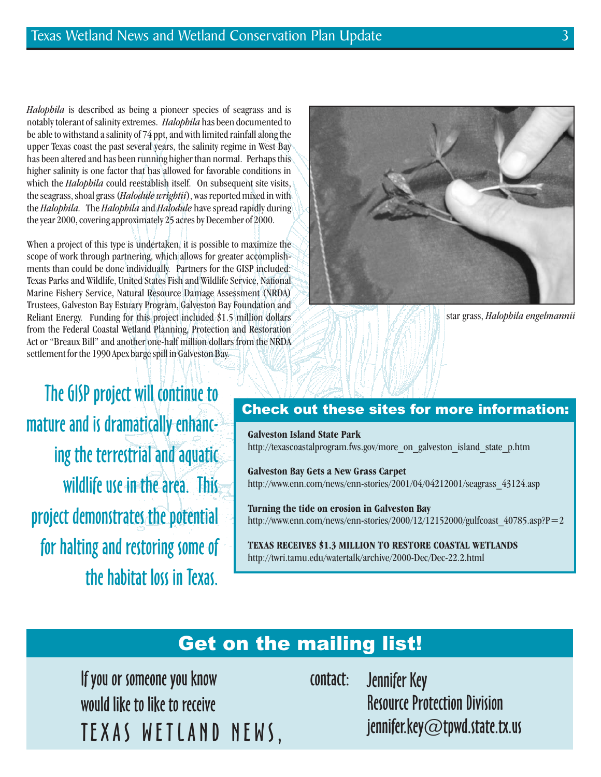*Halophila* is described as being a pioneer species of seagrass and is notably tolerant of salinity extremes. Halophila has been documented to which the *Halophila* could reestablish itself. On subsequent site visits, the seagrass, shoal grass (Halodule wrightii), was reported mixed in with the *Halophila*. The *Halophila* and *Halodule* have spread rapidly during be able to withstand a salinity of 74 ppt, and with limited rainfall along the upper Texas coast the past several years, the salinity regime in West Bay has been altered and has been running higher than normal. Perhaps this higher salinity is one factor that has allowed for favorable conditions in the year 2000, covering approximately 25 acres by December of 2000.

When a project of this type is undertaken, it is possible to maximize the scope of work through partnering, which allows for greater accomplishments than could be done individually. Partners for the GISP included: Texas Parks and Wildlife, United States Fish and Wildlife Service, National Marine Fishery Service, Natural Resource Damage Assessment (NRDA) Trustees, Galveston Bay Estuary Program, Galveston Bay Foundation and Reliant Energy. Funding for this project included \$1.5 million dollars from the Federal Coastal Wetland Planning, Protection and Restoration Act or "Breaux Bill" and another one-half million dollars from the NRDA settlement for the 1990 Apex barge spill in Galveston Bay.

The GISP project will continue to **Check out these sites for more information:** mature and is dramatically enhancing the terrestrial and aquatic wildlife use in the area. This project demonstrates the potential for halting and restoring some of the habitat loss in Texas.



star grass, *Halophila engelmannii*

#### **Galveston Island State Park**

http://texascoastalprogram.fws.gov/more\_on\_galveston\_island\_state\_p.htm

**Galveston Bay Gets a New Grass Carpet** http://www.enn.com/news/enn-stories/2001/04/04212001/seagrass\_43124.asp

**Turning the tide on erosion in Galveston Bay** http://www.enn.com/news/enn-stories/2000/12/12152000/gulfcoast  $40785.$ asp?P=2

**TEXAS RECEIVES \$1.3 MILLION TO RESTORE COASTAL WETLANDS** http://twri.tamu.edu/watertalk/archive/2000-Dec/Dec-22.2.html

#### Get on the mailing list!

If you or someone you know would like to like to receive TEXAS WETLAND NEWS,

contact: Jennifer Key Resource Protection Division jennifer.key@tpwd.state.tx.us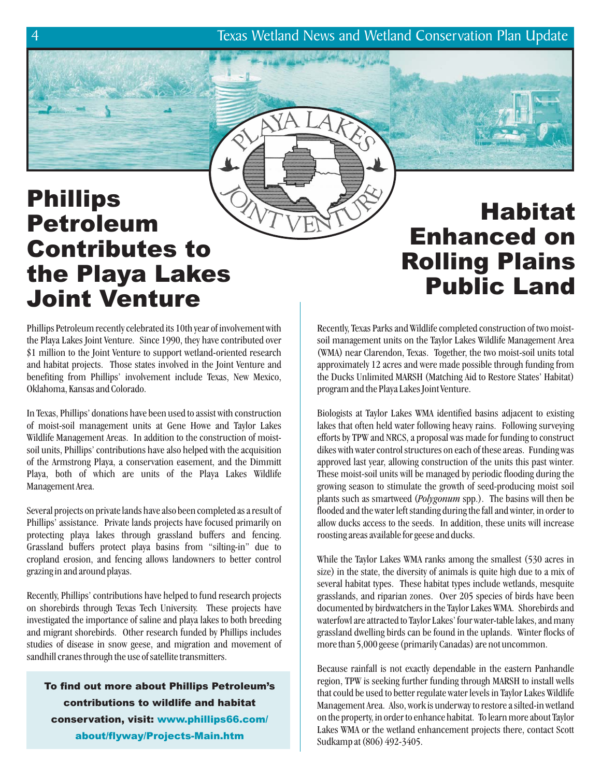4 Texas Wetland News and Wetland Conservation Plan Update

## Phillips Petroleum Contributes to the Playa Lakes Joint Venture

### Habitat Enhanced on Rolling Plains Public Land

Phillips Petroleum recently celebrated its 10th year of involvement with the Playa Lakes Joint Venture. Since 1990, they have contributed over \$1 million to the Joint Venture to support wetland-oriented research and habitat projects. Those states involved in the Joint Venture and benefiting from Phillips' involvement include Texas, New Mexico, Oklahoma, Kansas and Colorado.

In Texas, Phillips' donations have been used to assist with construction of moist-soil management units at Gene Howe and Taylor Lakes Wildlife Management Areas. In addition to the construction of moistsoil units, Phillips' contributions have also helped with the acquisition of the Armstrong Playa, a conservation easement, and the Dimmitt Playa, both of which are units of the Playa Lakes Wildlife Management Area.

Several projects on private lands have also been completed as a result of Phillips' assistance. Private lands projects have focused primarily on protecting playa lakes through grassland buffers and fencing. Grassland buffers protect playa basins from "silting-in" due to cropland erosion, and fencing allows landowners to better control grazing in and around playas.

Recently, Phillips' contributions have helped to fund research projects on shorebirds through Texas Tech University. These projects have investigated the importance of saline and playa lakes to both breeding and migrant shorebirds. Other research funded by Phillips includes studies of disease in snow geese, and migration and movement of sandhill cranes through the use of satellite transmitters.

To find out more about Phillips Petroleum's contributions to wildlife and habitat conservation, visit: www.phillips66.com/ about/flyway/Projects-Main.htm

Recently, Texas Parks and Wildlife completed construction of two moistsoil management units on the Taylor Lakes Wildlife Management Area (WMA) near Clarendon, Texas. Together, the two moist-soil units total approximately 12 acres and were made possible through funding from the Ducks Unlimited MARSH (Matching Aid to Restore States' Habitat) program and the Playa Lakes Joint Venture.

Biologists at Taylor Lakes WMA identified basins adjacent to existing lakes that often held water following heavy rains. Following surveying efforts by TPW and NRCS, a proposal was made for funding to construct dikes with water control structures on each of these areas. Funding was approved last year, allowing construction of the units this past winter. These moist-soil units will be managed by periodic flooding during the growing season to stimulate the growth of seed-producing moist soil plants such as smartweed (Polygonum spp.). The basins will then be flooded and the water left standing during the fall and winter, in order to allow ducks access to the seeds. In addition, these units will increase roosting areas available for geese and ducks.

While the Taylor Lakes WMA ranks among the smallest (530 acres in size) in the state, the diversity of animals is quite high due to a mix of several habitat types. These habitat types include wetlands, mesquite grasslands, and riparian zones. Over 205 species of birds have been documented by birdwatchers in the Taylor Lakes WMA. Shorebirds and waterfowl are attracted to Taylor Lakes' four water-table lakes, and many grassland dwelling birds can be found in the uplands. Winter flocks of more than 5,000 geese (primarily Canadas) are not uncommon.

Because rainfall is not exactly dependable in the eastern Panhandle region, TPW is seeking further funding through MARSH to install wells that could be used to better regulate water levels in Taylor Lakes Wildlife Management Area. Also, work is underway to restore a silted-in wetland on the property, in order to enhance habitat. To learn more about Taylor Lakes WMA or the wetland enhancement projects there, contact Scott Sudkamp at (806) 492-3405.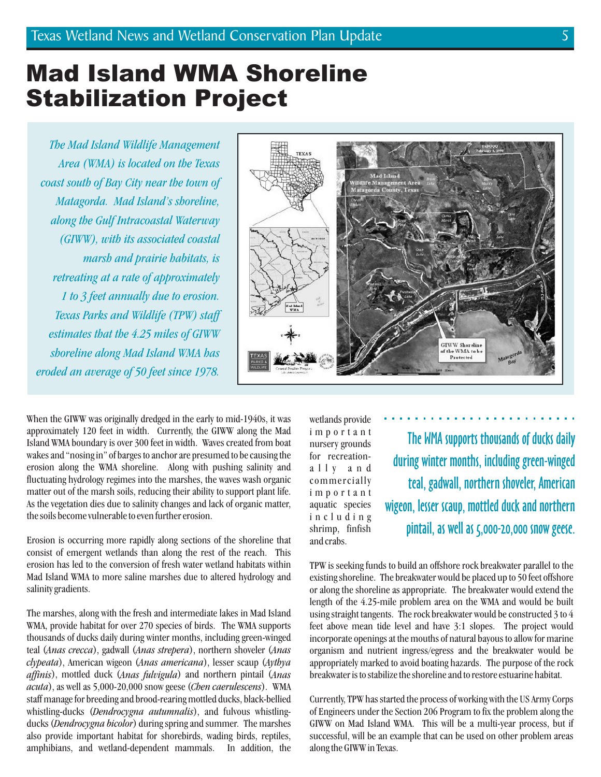#### Mad Island WMA Shoreline Stabilization Project

*The Mad Island Wildlife Management Area (WMA) is located on the Texas coast south of Bay City near the town of Matagorda. Mad Island's shoreline, along the Gulf Intracoastal Waterway (GIWW), with its associated coastal marsh and prairie habitats, is retreating at a rate of approximately 1 to 3 feet annually due to erosion. Texas Parks and Wildlife (TPW) staff estimates that the 4.25 miles of GIWW shoreline along Mad Island WMA has eroded an average of 50 feet since 1978.*



When the GIWW was originally dredged in the early to mid-1940s, it was approximately 120 feet in width. Currently, the GIWW along the Mad Island WMA boundary is over 300 feet in width. Waves created from boat wakes and "nosing in" of barges to anchor are presumed to be causing the erosion along the WMA shoreline. Along with pushing salinity and fluctuating hydrology regimes into the marshes, the waves wash organic matter out of the marsh soils, reducing their ability to support plant life. As the vegetation dies due to salinity changes and lack of organic matter, the soils become vulnerable to even further erosion.

Erosion is occurring more rapidly along sections of the shoreline that consist of emergent wetlands than along the rest of the reach. This erosion has led to the conversion of fresh water wetland habitats within Mad Island WMA to more saline marshes due to altered hydrology and salinity gradients.

The marshes, along with the fresh and intermediate lakes in Mad Island WMA, provide habitat for over 270 species of birds. The WMA supports thousands of ducks daily during winter months, including green-winged teal (Anas crecca), gadwall (Anas strepera), northern shoveler (Anas clypeata), American wigeon (Anas americana), lesser scaup (Aythya affinis), mottled duck (Anas fulvigula) and northern pintail (Anas acuta), as well as 5,000-20,000 snow geese (Chen caerulescens). WMA staff manage for breeding and brood-rearing mottled ducks, black-bellied whistling-ducks (Dendrocygna autumnalis), and fulvous whistlingducks (Dendrocygna bicolor) during spring and summer. The marshes also provide important habitat for shorebirds, wading birds, reptiles, amphibians, and wetland-dependent mammals. In addition, the

wetlands provide important nursery grounds for recreationally and commercially important aquatic species including shrimp, finfish and crabs.

The WMA supports thousands of ducks daily during winter months, including green-winged teal, gadwall, northern shoveler, American wigeon, lesser scaup, mottled duck and northern pintail, as well as 5,000-20,000 snow geese.

TPW is seeking funds to build an offshore rock breakwater parallel to the existing shoreline. The breakwater would be placed up to 50 feet offshore or along the shoreline as appropriate. The breakwater would extend the length of the 4.25-mile problem area on the WMA and would be built using straight tangents. The rock breakwater would be constructed 3 to 4 feet above mean tide level and have 3:1 slopes. The project would incorporate openings at the mouths of natural bayous to allow for marine organism and nutrient ingress/egress and the breakwater would be appropriately marked to avoid boating hazards. The purpose of the rock breakwater is to stabilize the shoreline and to restore estuarine habitat.

Currently, TPW has started the process of working with the US Army Corps of Engineers under the Section 206 Program to fix the problem along the GIWW on Mad Island WMA. This will be a multi-year process, but if successful, will be an example that can be used on other problem areas along the GIWW in Texas.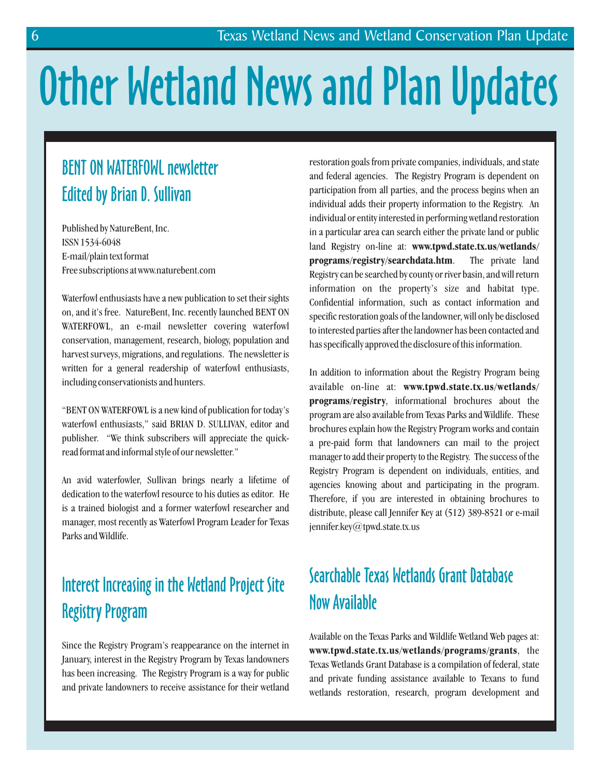# Other Wetland News and Plan Updates

#### BENT ON WATERFOWL newsletter Edited by Brian D. Sullivan

Published by NatureBent, Inc. ISSN 1534-6048 E-mail/plain text format Free subscriptions at www.naturebent.com

Waterfowl enthusiasts have a new publication to set their sights on, and it's free. NatureBent, Inc. recently launched BENT ON WATERFOWL, an e-mail newsletter covering waterfowl conservation, management, research, biology, population and harvest surveys, migrations, and regulations. The newsletter is written for a general readership of waterfowl enthusiasts, including conservationists and hunters.

"BENT ON WATERFOWL is a new kind of publication for today's waterfowl enthusiasts," said BRIAN D. SULLIVAN, editor and publisher. "We think subscribers will appreciate the quickread format and informal style of our newsletter."

An avid waterfowler, Sullivan brings nearly a lifetime of dedication to the waterfowl resource to his duties as editor. He is a trained biologist and a former waterfowl researcher and manager, most recently as Waterfowl Program Leader for Texas Parks and Wildlife.

#### Interest Increasing in the Wetland Project Site Registry Program

Since the Registry Program's reappearance on the internet in January, interest in the Registry Program by Texas landowners has been increasing. The Registry Program is a way for public and private landowners to receive assistance for their wetland

restoration goals from private companies, individuals, and state and federal agencies. The Registry Program is dependent on participation from all parties, and the process begins when an individual adds their property information to the Registry. An individual or entity interested in performing wetland restoration in a particular area can search either the private land or public land Registry on-line at: **www.tpwd.state.tx.us/wetlands/** . The private land Registry can be searched by county or river basin, and will return information on the property's size and habitat type. Confidential information, such as contact information and specific restoration goals of the landowner, will only be disclosed to interested parties after the landowner has been contacted and has specifically approved the disclosure of this information. **programs/registry/searchdata.htm**

In addition to information about the Registry Program being available on-line at: **www.tpwd.state.tx.us/wetlands/** , informational brochures about the **programs/registry** program are also available from Texas Parks and Wildlife. These brochures explain how the Registry Program works and contain a pre-paid form that landowners can mail to the project manager to add their property to the Registry. The success of the Registry Program is dependent on individuals, entities, and agencies knowing about and participating in the program. Therefore, if you are interested in obtaining brochures to distribute, please call Jennifer Key at (512) 389-8521 or e-mail jennifer.key@tpwd.state.tx.us

#### Searchable Texas Wetlands Grant Database Now Available

Available on the Texas Parks and Wildlife Wetland Web pages at: www.tpwd.state.tx.us/wetlands/programs/grants, the Texas Wetlands Grant Database is a compilation of federal, state and private funding assistance available to Texans to fund wetlands restoration, research, program development and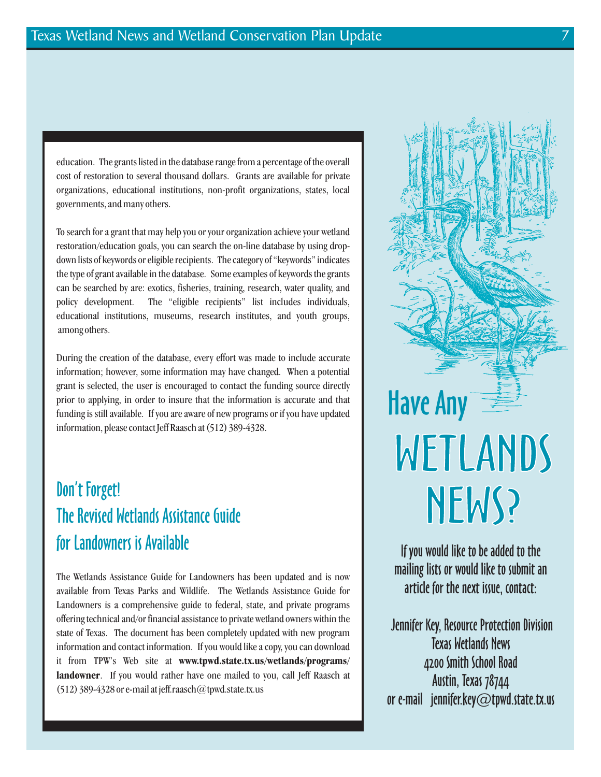education. The grants listed in the database range from a percentage of the overall cost of restoration to several thousand dollars. Grants are available for private organizations, educational institutions, non-profit organizations, states, local governments, and many others.

To search for a grant that may help you or your organization achieve your wetland restoration/education goals, you can search the on-line database by using dropdown lists of keywords or eligible recipients. The category of "keywords" indicates the type of grant available in the database. Some examples of keywords the grants can be searched by are: exotics, fisheries, training, research, water quality, and policy development. The "eligible recipients" list includes individuals, educational institutions, museums, research institutes, and youth groups, among others.

During the creation of the database, every effort was made to include accurate information; however, some information may have changed. When a potential grant is selected, the user is encouraged to contact the funding source directly prior to applying, in order to insure that the information is accurate and that funding is still available. If you are aware of new programs or if you have updated information, please contact Jeff Raasch at (512) 389-4328.

#### Don't Forget! The Revised Wetlands Assistance Guide for Landowners is Available

The Wetlands Assistance Guide for Landowners has been updated and is now available from Texas Parks and Wildlife. The Wetlands Assistance Guide for Landowners is a comprehensive guide to federal, state, and private programs offering technical and/or financial assistance to private wetland owners within the state of Texas. The document has been completely updated with new program information and contact information. If you would like a copy, you can download it from TPW's Web site at **www.tpwd.state.tx.us/wetlands/programs/** landowner. If you would rather have one mailed to you, call Jeff Raasch at (512) 389-4328 or e-mail at jeff.raasch $@$ tpwd.state.tx.us



If you would like to be added to the mailing lists or would like to submit an article for the next issue, contact:

Jennifer Key, Resource Protection Division Texas Wetlands News 4200 Smith School Road Austin, Texas 78744 or e-mail jennifer.key@tpwd.state.tx.us